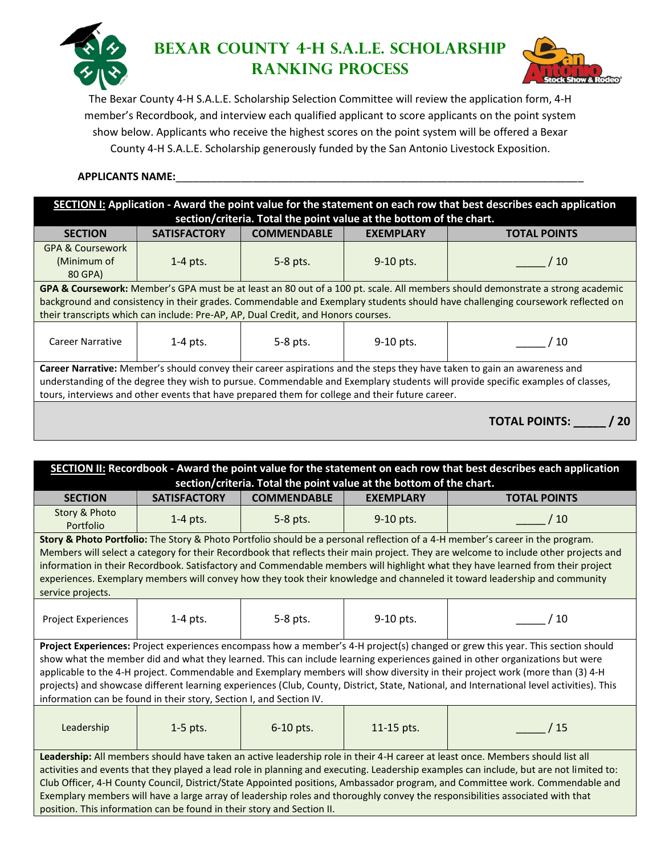

## **Bexar County 4-H S.A.L.E. Scholarship Ranking Process**



The Bexar County 4-H S.A.L.E. Scholarship Selection Committee will review the application form, 4-H member's Recordbook, and interview each qualified applicant to score applicants on the point system show below. Applicants who receive the highest scores on the point system will be offered a Bexar County 4-H S.A.L.E. Scholarship generously funded by the San Antonio Livestock Exposition.

## **APPLICANTS NAME:**\_\_\_\_\_\_\_\_\_\_\_\_\_\_\_\_\_\_\_\_\_\_\_\_\_\_\_\_\_\_\_\_\_\_\_\_\_\_\_\_\_\_\_\_\_\_\_\_\_\_\_\_\_\_\_\_\_\_\_\_\_\_\_\_\_\_\_\_\_

**SECTION I: Application - Award the point value for the statement on each row that best describes each application section/criteria. Total the point value at the bottom of the chart.**

| <b>SECTION</b>                                                                                                                 | <b>SATISFACTORY</b> | <b>COMMENDABLE</b> | <b>EXEMPLARY</b> | <b>TOTAL POINTS</b>        |  |
|--------------------------------------------------------------------------------------------------------------------------------|---------------------|--------------------|------------------|----------------------------|--|
| <b>GPA &amp; Coursework</b>                                                                                                    |                     |                    |                  |                            |  |
| (Minimum of                                                                                                                    | $1-4$ pts.          | 5-8 pts.           | $9-10$ pts.      | $^{\prime}$ 10 $^{\prime}$ |  |
| 80 GPA)                                                                                                                        |                     |                    |                  |                            |  |
| GPA & Coursework: Member's GPA must be at least an 80 out of a 100 pt. scale. All members should demonstrate a strong academic |                     |                    |                  |                            |  |
| background and consistency in their grades. Commendable and Exemplary students should have challenging coursework reflected on |                     |                    |                  |                            |  |
| their transcripts which can include: Pre-AP, AP, Dual Credit, and Honors courses.                                              |                     |                    |                  |                            |  |
| Career Narrative                                                                                                               | $1-4$ pts.          | 5-8 pts.           | 9-10 pts.        | $^{\prime}$ 10             |  |
| Career Narrative: Member's should convey their career aspirations and the steps they have taken to gain an awareness and       |                     |                    |                  |                            |  |
| understanding of the degree they wish to pursue. Commendable and Exemplary students will provide specific examples of classes, |                     |                    |                  |                            |  |
| tours, interviews and other events that have prepared them for college and their future career.                                |                     |                    |                  |                            |  |
| <b>TOTAL POINTS:</b><br>20                                                                                                     |                     |                    |                  |                            |  |

| <b>SECTION II:</b> Recordbook - Award the point value for the statement on each row that best describes each application                                                                                                                                       |                     |                    |                  |                                                                                                                                      |  |
|----------------------------------------------------------------------------------------------------------------------------------------------------------------------------------------------------------------------------------------------------------------|---------------------|--------------------|------------------|--------------------------------------------------------------------------------------------------------------------------------------|--|
| section/criteria. Total the point value at the bottom of the chart.                                                                                                                                                                                            |                     |                    |                  |                                                                                                                                      |  |
| <b>SECTION</b>                                                                                                                                                                                                                                                 | <b>SATISFACTORY</b> | <b>COMMENDABLE</b> | <b>EXEMPLARY</b> | <b>TOTAL POINTS</b>                                                                                                                  |  |
| Story & Photo<br>Portfolio                                                                                                                                                                                                                                     | $1-4$ pts.          | 5-8 pts.           | 9-10 pts.        | /10                                                                                                                                  |  |
| Story & Photo Portfolio: The Story & Photo Portfolio should be a personal reflection of a 4-H member's career in the program.                                                                                                                                  |                     |                    |                  |                                                                                                                                      |  |
|                                                                                                                                                                                                                                                                |                     |                    |                  | Members will select a category for their Recordbook that reflects their main project. They are welcome to include other projects and |  |
|                                                                                                                                                                                                                                                                |                     |                    |                  | information in their Recordbook. Satisfactory and Commendable members will highlight what they have learned from their project       |  |
|                                                                                                                                                                                                                                                                |                     |                    |                  | experiences. Exemplary members will convey how they took their knowledge and channeled it toward leadership and community            |  |
| service projects.                                                                                                                                                                                                                                              |                     |                    |                  |                                                                                                                                      |  |
| <b>Project Experiences</b>                                                                                                                                                                                                                                     | $1-4$ pts.          | 5-8 pts.           | 9-10 pts.        | 10                                                                                                                                   |  |
|                                                                                                                                                                                                                                                                |                     |                    |                  |                                                                                                                                      |  |
| Project Experiences: Project experiences encompass how a member's 4-H project(s) changed or grew this year. This section should                                                                                                                                |                     |                    |                  |                                                                                                                                      |  |
|                                                                                                                                                                                                                                                                |                     |                    |                  | show what the member did and what they learned. This can include learning experiences gained in other organizations but were         |  |
|                                                                                                                                                                                                                                                                |                     |                    |                  | applicable to the 4-H project. Commendable and Exemplary members will show diversity in their project work (more than (3) 4-H        |  |
| projects) and showcase different learning experiences (Club, County, District, State, National, and International level activities). This                                                                                                                      |                     |                    |                  |                                                                                                                                      |  |
| information can be found in their story, Section I, and Section IV.                                                                                                                                                                                            |                     |                    |                  |                                                                                                                                      |  |
|                                                                                                                                                                                                                                                                |                     |                    |                  |                                                                                                                                      |  |
| Leadership                                                                                                                                                                                                                                                     | $1-5$ pts.          | 6-10 pts.          | 11-15 pts.       | /15                                                                                                                                  |  |
|                                                                                                                                                                                                                                                                |                     |                    |                  |                                                                                                                                      |  |
| Leadership: All members should have taken an active leadership role in their 4-H career at least once. Members should list all                                                                                                                                 |                     |                    |                  |                                                                                                                                      |  |
| activities and events that they played a lead role in planning and executing. Leadership examples can include, but are not limited to:                                                                                                                         |                     |                    |                  |                                                                                                                                      |  |
| Club Officer, 4-H County Council, District/State Appointed positions, Ambassador program, and Committee work. Commendable and<br>Exemplary members will have a large array of leadership roles and thoroughly convey the responsibilities associated with that |                     |                    |                  |                                                                                                                                      |  |
| position. This information can be found in their story and Section II.                                                                                                                                                                                         |                     |                    |                  |                                                                                                                                      |  |
|                                                                                                                                                                                                                                                                |                     |                    |                  |                                                                                                                                      |  |